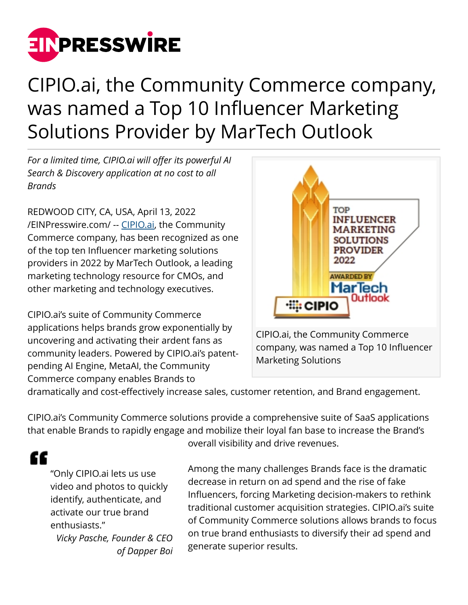

## CIPIO.ai, the Community Commerce company, was named a Top 10 Influencer Marketing Solutions Provider by MarTech Outlook

*For a limited time, CIPIO.ai will offer its powerful AI Search & Discovery application at no cost to all Brands*

REDWOOD CITY, CA, USA, April 13, 2022 [/EINPresswire.com/](http://www.einpresswire.com) -- [CIPIO.ai](https://cipio.ai/), the Community Commerce company, has been recognized as one of the top ten Influencer marketing solutions providers in 2022 by MarTech Outlook, a leading marketing technology resource for CMOs, and other marketing and technology executives.

CIPIO.ai's suite of Community Commerce applications helps brands grow exponentially by uncovering and activating their ardent fans as community leaders. Powered by CIPIO.ai's patentpending AI Engine, MetaAI, the Community Commerce company enables Brands to



CIPIO.ai, the Community Commerce company, was named a Top 10 Influencer Marketing Solutions

dramatically and cost-effectively increase sales, customer retention, and Brand engagement.

CIPIO.ai's Community Commerce solutions provide a comprehensive suite of SaaS applications that enable Brands to rapidly engage and mobilize their loyal fan base to increase the Brand's

"

"Only CIPIO.ai lets us use video and photos to quickly identify, authenticate, and activate our true brand enthusiasts."

*Vicky Pasche, Founder & CEO of Dapper Boi* overall visibility and drive revenues.

Among the many challenges Brands face is the dramatic decrease in return on ad spend and the rise of fake Influencers, forcing Marketing decision-makers to rethink traditional customer acquisition strategies. CIPIO.ai's suite of Community Commerce solutions allows brands to focus on true brand enthusiasts to diversify their ad spend and generate superior results.